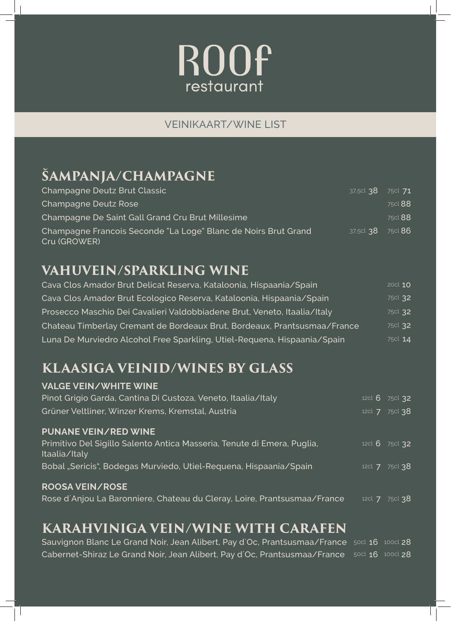# **ROOf** restaurant

#### VEINIKAART/WINE LIST

# **ŠAMPANJA/CHAMPAGNE**

| Champagne Deutz Brut Classic                                                   | 37.5cl 38 75cl 71 |                |
|--------------------------------------------------------------------------------|-------------------|----------------|
| Champagne Deutz Rose                                                           |                   | 75cl 88        |
| Champagne De Saint Gall Grand Cru Brut Millesime                               |                   | 75cl 88        |
| Champagne Francois Seconde "La Loge" Blanc de Noirs Brut Grand<br>Cru (GROWER) | 37.5cl <b>38</b>  | 75cl <b>86</b> |

#### **VAHUVEIN/SPARKLING WINE**

| Cava Clos Amador Brut Delicat Reserva, Kataloonia, Hispaania/Spain       | 20cl 10 |
|--------------------------------------------------------------------------|---------|
| Cava Clos Amador Brut Ecologico Reserva, Kataloonia, Hispaania/Spain     | 75cl 32 |
| Prosecco Maschio Dei Cavalieri Valdobbiadene Brut, Veneto, Itaalia/Italy | 75cl 32 |
| Chateau Timberlay Cremant de Bordeaux Brut, Bordeaux, Prantsusmaa/France | 75cl 32 |
| Luna De Murviedro Alcohol Free Sparkling, Utiel-Requena, Hispaania/Spain | 75cl 14 |

### **KLAASIGA VEINID/WINES BY GLASS**

| <b>VALGE VEIN/WHITE WINE</b>                                                             |          |                        |
|------------------------------------------------------------------------------------------|----------|------------------------|
| Pinot Grigio Garda, Cantina Di Custoza, Veneto, Itaalia/Italy                            |          | 12cl $6\frac{75c}{32}$ |
| Grüner Veltliner, Winzer Krems, Kremstal, Austria                                        |          | 12cl <b>7</b> 75cl 38  |
| <b>PUNANE VEIN/RED WINE</b>                                                              |          |                        |
| Primitivo Del Sigillo Salento Antica Masseria, Tenute di Emera, Puglia,<br>Itaalia/Italy |          | 12cl 6 75cl 32         |
| Bobal "Sericis", Bodegas Murviedo, Utiel-Requena, Hispaania/Spain                        |          | 12cl <b>7</b> 75cl 38  |
| <b>ROOSA VEIN/ROSE</b>                                                                   |          |                        |
| Rose d'Anjou La Baronniere, Chateau du Cleray, Loire, Prantsusmaa/France                 | 12cl $7$ | 75cl 38                |

#### **KARAHVINIGA VEIN/WINE WITH CARAFEN**

| Sauvignon Blanc Le Grand Noir, Jean Alibert, Pay d'Oc, Prantsusmaa/France 50cl 16 100cl 28        |  |
|---------------------------------------------------------------------------------------------------|--|
| <b>Cabernet-Shiraz Le Grand Noir, Jean Alibert, Pay d'Oc, Prantsusmaa/France</b> 50cl 16 100cl 28 |  |